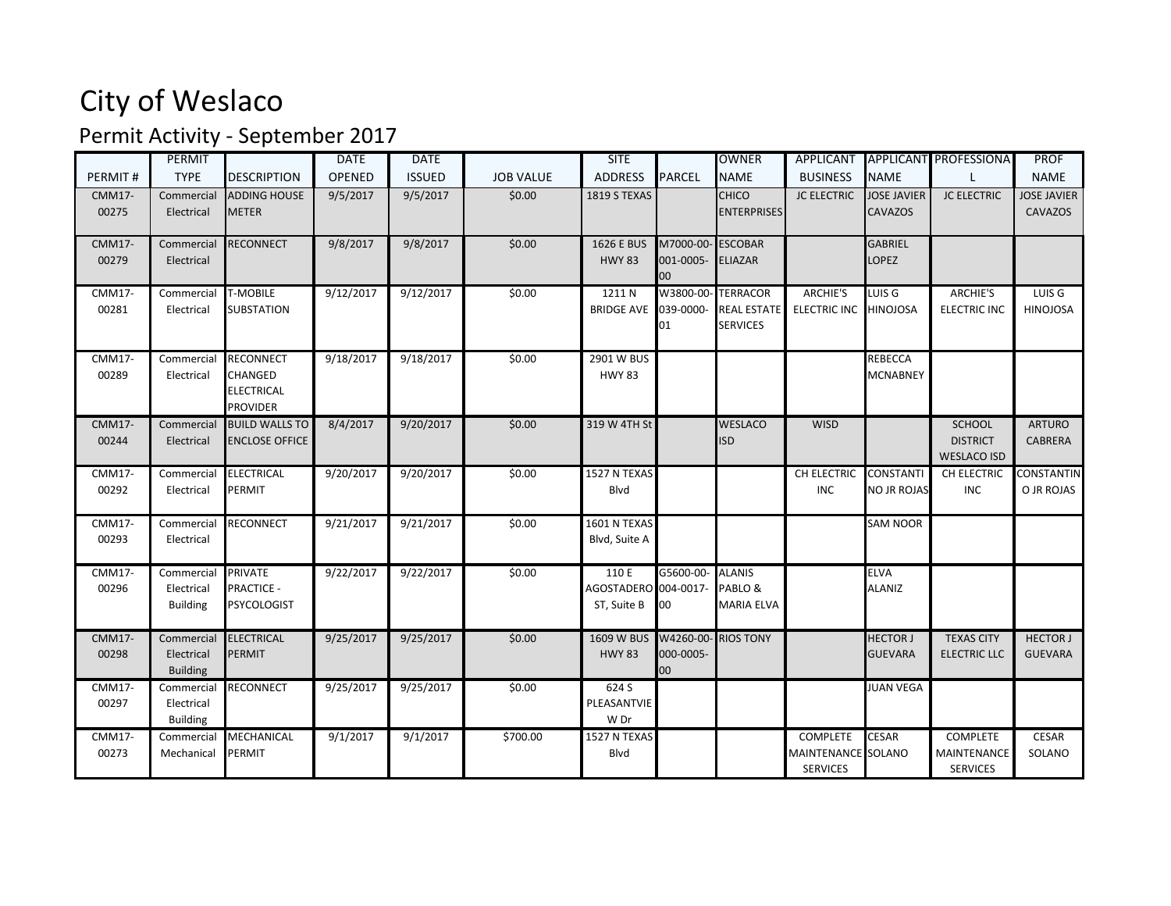## City of Weslaco

## Permit Activity - September 2017

|               | PERMIT          |                       | <b>DATE</b> | <b>DATE</b>   |                  | <b>SITE</b>          |               | <b>OWNER</b>        |                     |                    | APPLICANT APPLICANT PROFESSIONA | <b>PROF</b>        |
|---------------|-----------------|-----------------------|-------------|---------------|------------------|----------------------|---------------|---------------------|---------------------|--------------------|---------------------------------|--------------------|
| PERMIT#       | <b>TYPE</b>     | <b>DESCRIPTION</b>    | OPENED      | <b>ISSUED</b> | <b>JOB VALUE</b> | <b>ADDRESS</b>       | <b>PARCEL</b> | <b>NAME</b>         | <b>BUSINESS</b>     | <b>NAME</b>        |                                 | <b>NAME</b>        |
| <b>CMM17-</b> | Commercial      | <b>ADDING HOUSE</b>   | 9/5/2017    | 9/5/2017      | \$0.00           | 1819 S TEXAS         |               | <b>CHICO</b>        | <b>JC ELECTRIC</b>  | <b>JOSE JAVIER</b> | <b>JC ELECTRIC</b>              | <b>JOSE JAVIER</b> |
| 00275         | Electrical      | <b>METER</b>          |             |               |                  |                      |               | <b>ENTERPRISES</b>  |                     | <b>CAVAZOS</b>     |                                 | <b>CAVAZOS</b>     |
|               |                 |                       |             |               |                  |                      |               |                     |                     |                    |                                 |                    |
| <b>CMM17-</b> | Commercial      | <b>RECONNECT</b>      | 9/8/2017    | 9/8/2017      | \$0.00           | 1626 E BUS           | M7000-00-     | <b>ESCOBAR</b>      |                     | <b>GABRIEL</b>     |                                 |                    |
| 00279         | Electrical      |                       |             |               |                  | <b>HWY 83</b>        | 001-0005-     | <b>ELIAZAR</b>      |                     | LOPEZ              |                                 |                    |
| <b>CMM17-</b> | Commercial      | <b>T-MOBILE</b>       | 9/12/2017   | 9/12/2017     | \$0.00           | 1211N                | 00            | W3800-00- TERRACOR  | <b>ARCHIE'S</b>     | LUIS <sub>G</sub>  | <b>ARCHIE'S</b>                 | LUIS G             |
| 00281         | Electrical      | <b>SUBSTATION</b>     |             |               |                  | <b>BRIDGE AVE</b>    | 039-0000-     | <b>REAL ESTATE</b>  | <b>ELECTRIC INC</b> | <b>HINOJOSA</b>    | <b>ELECTRIC INC</b>             | <b>HINOJOSA</b>    |
|               |                 |                       |             |               |                  |                      | 01            | <b>SERVICES</b>     |                     |                    |                                 |                    |
|               |                 |                       |             |               |                  |                      |               |                     |                     |                    |                                 |                    |
| CMM17-        | Commercial      | <b>RECONNECT</b>      | 9/18/2017   | 9/18/2017     | \$0.00           | 2901 W BUS           |               |                     |                     | <b>REBECCA</b>     |                                 |                    |
| 00289         | Electrical      | <b>CHANGED</b>        |             |               |                  | <b>HWY 83</b>        |               |                     |                     | <b>MCNABNEY</b>    |                                 |                    |
|               |                 | <b>ELECTRICAL</b>     |             |               |                  |                      |               |                     |                     |                    |                                 |                    |
|               |                 | <b>PROVIDER</b>       |             |               |                  |                      |               |                     |                     |                    |                                 |                    |
| <b>CMM17-</b> | Commercial      | <b>BUILD WALLS TO</b> | 8/4/2017    | 9/20/2017     | \$0.00           | 319 W 4TH St         |               | <b>WESLACO</b>      | <b>WISD</b>         |                    | SCHOOL                          | <b>ARTURO</b>      |
| 00244         | Electrical      | <b>ENCLOSE OFFICE</b> |             |               |                  |                      |               | ISD                 |                     |                    | <b>DISTRICT</b>                 | <b>CABRERA</b>     |
|               |                 |                       |             |               |                  |                      |               |                     |                     |                    | <b>WESLACO ISD</b>              |                    |
| <b>CMM17-</b> | Commercial      | <b>ELECTRICAL</b>     | 9/20/2017   | 9/20/2017     | \$0.00           | 1527 N TEXAS         |               |                     | CH ELECTRIC         | <b>CONSTANTI</b>   | CH ELECTRIC                     | CONSTANTIN         |
| 00292         | Electrical      | <b>PERMIT</b>         |             |               |                  | Blvd                 |               |                     | <b>INC</b>          | NO JR ROJAS        | <b>INC</b>                      | O JR ROJAS         |
|               |                 |                       |             |               |                  |                      |               |                     |                     |                    |                                 |                    |
| CMM17-        | Commercial      | <b>RECONNECT</b>      | 9/21/2017   | 9/21/2017     | \$0.00           | 1601 N TEXAS         |               |                     |                     | <b>SAM NOOR</b>    |                                 |                    |
| 00293         | Electrical      |                       |             |               |                  | Blvd, Suite A        |               |                     |                     |                    |                                 |                    |
| CMM17-        | Commercial      | <b>PRIVATE</b>        | 9/22/2017   | 9/22/2017     | \$0.00           | 110 E                | G5600-00-     | <b>ALANIS</b>       |                     | <b>ELVA</b>        |                                 |                    |
| 00296         | Electrical      | <b>PRACTICE -</b>     |             |               |                  | AGOSTADERO 004-0017- |               | PABLO&              |                     | <b>ALANIZ</b>      |                                 |                    |
|               | <b>Building</b> | <b>PSYCOLOGIST</b>    |             |               |                  | ST, Suite B          | 00            | MARIA ELVA          |                     |                    |                                 |                    |
|               |                 |                       |             |               |                  |                      |               |                     |                     |                    |                                 |                    |
| <b>CMM17-</b> | Commercial      | <b>ELECTRICAL</b>     | 9/25/2017   | 9/25/2017     | \$0.00           | 1609 W BUS           |               | W4260-00- RIOS TONY |                     | <b>HECTOR J</b>    | <b>TEXAS CITY</b>               | <b>HECTOR J</b>    |
| 00298         | Electrical      | <b>PERMIT</b>         |             |               |                  | <b>HWY 83</b>        | 000-0005-     |                     |                     | GUEVARA            | <b>ELECTRIC LLC</b>             | <b>GUEVARA</b>     |
|               | <b>Building</b> |                       |             |               |                  |                      | 00            |                     |                     |                    |                                 |                    |
| <b>CMM17-</b> | Commercial      | <b>RECONNECT</b>      | 9/25/2017   | 9/25/2017     | \$0.00           | 624 S                |               |                     |                     | <b>JUAN VEGA</b>   |                                 |                    |
| 00297         | Electrical      |                       |             |               |                  | PLEASANTVIE          |               |                     |                     |                    |                                 |                    |
|               | <b>Building</b> |                       |             |               |                  | W Dr                 |               |                     |                     |                    |                                 |                    |
| CMM17-        | Commercial      | MECHANICAL            | 9/1/2017    | 9/1/2017      | \$700.00         | 1527 N TEXAS         |               |                     | <b>COMPLETE</b>     | <b>CESAR</b>       | <b>COMPLETE</b>                 | <b>CESAR</b>       |
| 00273         | Mechanical      | PERMIT                |             |               |                  | Blvd                 |               |                     | MAINTENANCE SOLANO  |                    | MAINTENANCE                     | SOLANO             |
|               |                 |                       |             |               |                  |                      |               |                     | <b>SERVICES</b>     |                    | <b>SERVICES</b>                 |                    |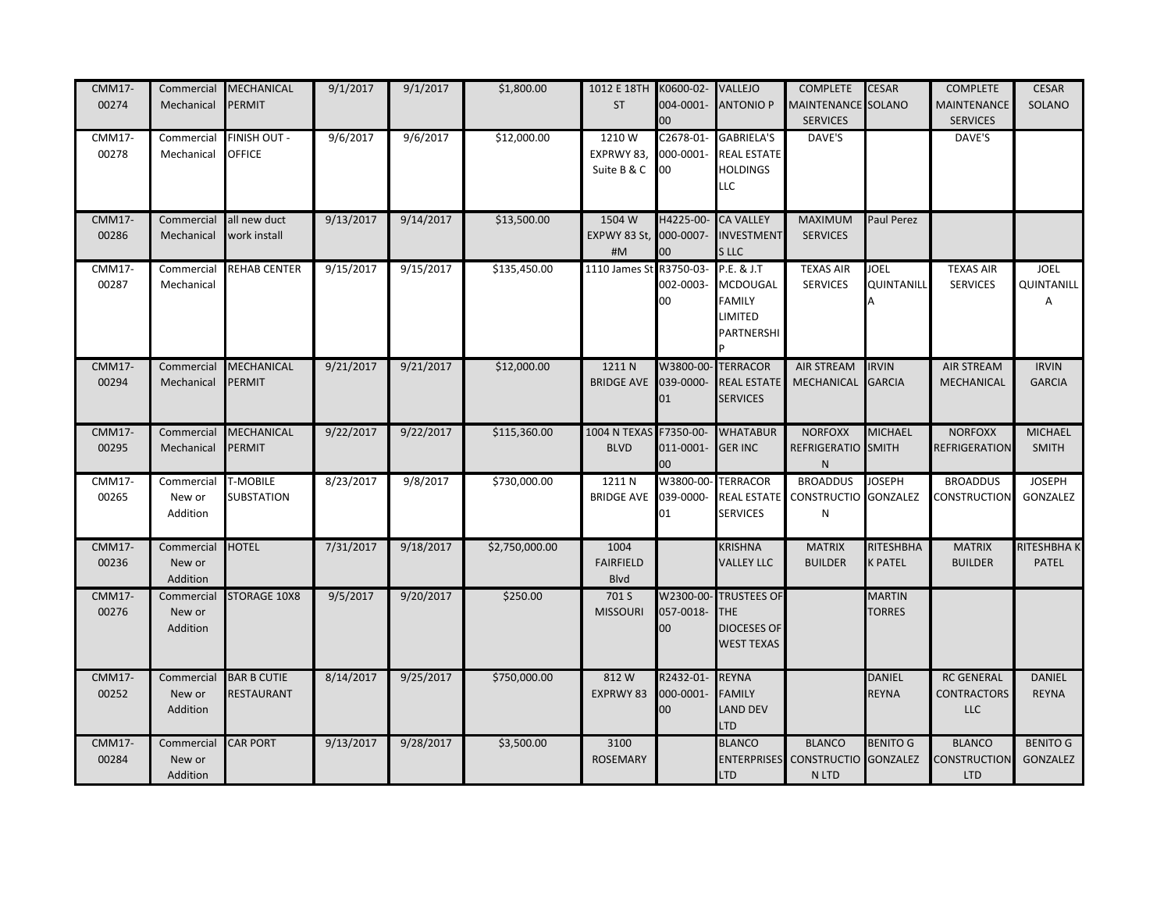| <b>CMM17-</b><br>00274 | Commercial<br>Mechanical         | MECHANICAL<br>PERMIT                 | 9/1/2017  | 9/1/2017  | \$1,800.00     | 1012 E 18TH K0600-02-<br><b>ST</b>     | $00\,$                       | <b>VALLEJO</b><br>004-0001- ANTONIO P                                       | <b>COMPLETE</b><br><b>MAINTENANCE SOLANO</b><br><b>SERVICES</b> | <b>CESAR</b>                       | <b>COMPLETE</b><br><b>MAINTENANCE</b><br><b>SERVICES</b> | <b>CESAR</b><br>SOLANO             |
|------------------------|----------------------------------|--------------------------------------|-----------|-----------|----------------|----------------------------------------|------------------------------|-----------------------------------------------------------------------------|-----------------------------------------------------------------|------------------------------------|----------------------------------------------------------|------------------------------------|
| CMM17-<br>00278        | Commercial<br>Mechanical         | FINISH OUT -<br><b>OFFICE</b>        | 9/6/2017  | 9/6/2017  | \$12,000.00    | 1210W<br>EXPRWY 83,<br>Suite B & C     | C2678-01-<br>000-0001-<br>00 | <b>GABRIELA'S</b><br><b>REAL ESTATE</b><br><b>HOLDINGS</b><br>LLC           | DAVE'S                                                          |                                    | DAVE'S                                                   |                                    |
| <b>CMM17-</b><br>00286 | Commercial<br>Mechanical         | all new duct<br>work install         | 9/13/2017 | 9/14/2017 | \$13,500.00    | 1504 W<br>EXPWY 83 St, 000-0007-<br>#M | H4225-00-<br>00 <sub>1</sub> | <b>CA VALLEY</b><br><b>INVESTMENT</b><br>S LLC                              | MAXIMUM<br><b>SERVICES</b>                                      | Paul Perez                         |                                                          |                                    |
| CMM17-<br>00287        | Commercial<br>Mechanical         | <b>REHAB CENTER</b>                  | 9/15/2017 | 9/15/2017 | \$135,450.00   | 1110 James St R3750-03-                | 002-0003-<br>00              | P.E. & J.T<br>MCDOUGAL<br><b>FAMILY</b><br>LIMITED<br>PARTNERSHI            | <b>TEXAS AIR</b><br><b>SERVICES</b>                             | JOEL<br>QUINTANILL                 | <b>TEXAS AIR</b><br><b>SERVICES</b>                      | <b>JOEL</b><br>QUINTANILL<br>Α     |
| <b>CMM17-</b><br>00294 | Commercial<br>Mechanical         | MECHANICAL<br>PERMIT                 | 9/21/2017 | 9/21/2017 | \$12,000.00    | 1211 N<br><b>BRIDGE AVE</b>            | W3800-00-<br>039-0000-<br>01 | <b>TERRACOR</b><br><b>REAL ESTATE</b><br><b>SERVICES</b>                    | <b>AIR STREAM</b><br>MECHANICAL                                 | <b>IRVIN</b><br><b>GARCIA</b>      | <b>AIR STREAM</b><br>MECHANICAL                          | <b>IRVIN</b><br><b>GARCIA</b>      |
| <b>CMM17-</b><br>00295 | Commercial<br>Mechanical         | MECHANICAL<br>PERMIT                 | 9/22/2017 | 9/22/2017 | \$115,360.00   | 1004 N TEXAS F7350-00-<br><b>BLVD</b>  | 011-0001-<br>00              | <b>WHATABUR</b><br><b>GER INC</b>                                           | <b>NORFOXX</b><br>REFRIGERATIO SMITH<br>${\sf N}$               | <b>MICHAEL</b>                     | <b>NORFOXX</b><br><b>REFRIGERATION</b>                   | <b>MICHAEL</b><br><b>SMITH</b>     |
| CMM17-<br>00265        | Commercial<br>New or<br>Addition | <b>T-MOBILE</b><br><b>SUBSTATION</b> | 8/23/2017 | 9/8/2017  | \$730,000.00   | 1211 N<br><b>BRIDGE AVE</b>            | W3800-00-<br>039-0000-<br>01 | <b>TERRACOR</b><br><b>REAL ESTATE</b><br><b>SERVICES</b>                    | <b>BROADDUS</b><br><b>CONSTRUCTIO</b><br>${\sf N}$              | <b>JOSEPH</b><br><b>GONZALEZ</b>   | <b>BROADDUS</b><br>CONSTRUCTION                          | <b>JOSEPH</b><br><b>GONZALEZ</b>   |
| <b>CMM17-</b><br>00236 | Commercial<br>New or<br>Addition | <b>HOTEL</b>                         | 7/31/2017 | 9/18/2017 | \$2,750,000.00 | 1004<br><b>FAIRFIELD</b><br>Blvd       |                              | <b>KRISHNA</b><br><b>VALLEY LLC</b>                                         | <b>MATRIX</b><br><b>BUILDER</b>                                 | <b>RITESHBHA</b><br><b>K PATEL</b> | <b>MATRIX</b><br><b>BUILDER</b>                          | RITESHBHA K<br>PATEL               |
| <b>CMM17-</b><br>00276 | Commercial<br>New or<br>Addition | <b>STORAGE 10X8</b>                  | 9/5/2017  | 9/20/2017 | \$250.00       | 701 S<br><b>MISSOURI</b>               | W2300-00-<br>057-0018-<br>00 | <b>TRUSTEES OF</b><br><b>THE</b><br><b>DIOCESES OF</b><br><b>WEST TEXAS</b> |                                                                 | <b>MARTIN</b><br><b>TORRES</b>     |                                                          |                                    |
| <b>CMM17-</b><br>00252 | Commercial<br>New or<br>Addition | <b>BAR B CUTIE</b><br>RESTAURANT     | 8/14/2017 | 9/25/2017 | \$750,000.00   | 812W<br>EXPRWY 83                      | R2432-01-<br>100-0001-<br>00 | <b>REYNA</b><br><b>FAMILY</b><br><b>LAND DEV</b><br><b>LTD</b>              |                                                                 | DANIEL<br><b>REYNA</b>             | <b>RC GENERAL</b><br>CONTRACTORS<br><b>LLC</b>           | DANIEL<br><b>REYNA</b>             |
| <b>CMM17-</b><br>00284 | Commercial<br>New or<br>Addition | <b>CAR PORT</b>                      | 9/13/2017 | 9/28/2017 | \$3,500.00     | 3100<br><b>ROSEMARY</b>                |                              | <b>BLANCO</b><br><b>LTD</b>                                                 | <b>BLANCO</b><br><b>ENTERPRISES</b> CONSTRUCTIO<br>N LTD        | <b>BENITO G</b><br><b>GONZALEZ</b> | <b>BLANCO</b><br>CONSTRUCTION<br><b>LTD</b>              | <b>BENITO G</b><br><b>GONZALEZ</b> |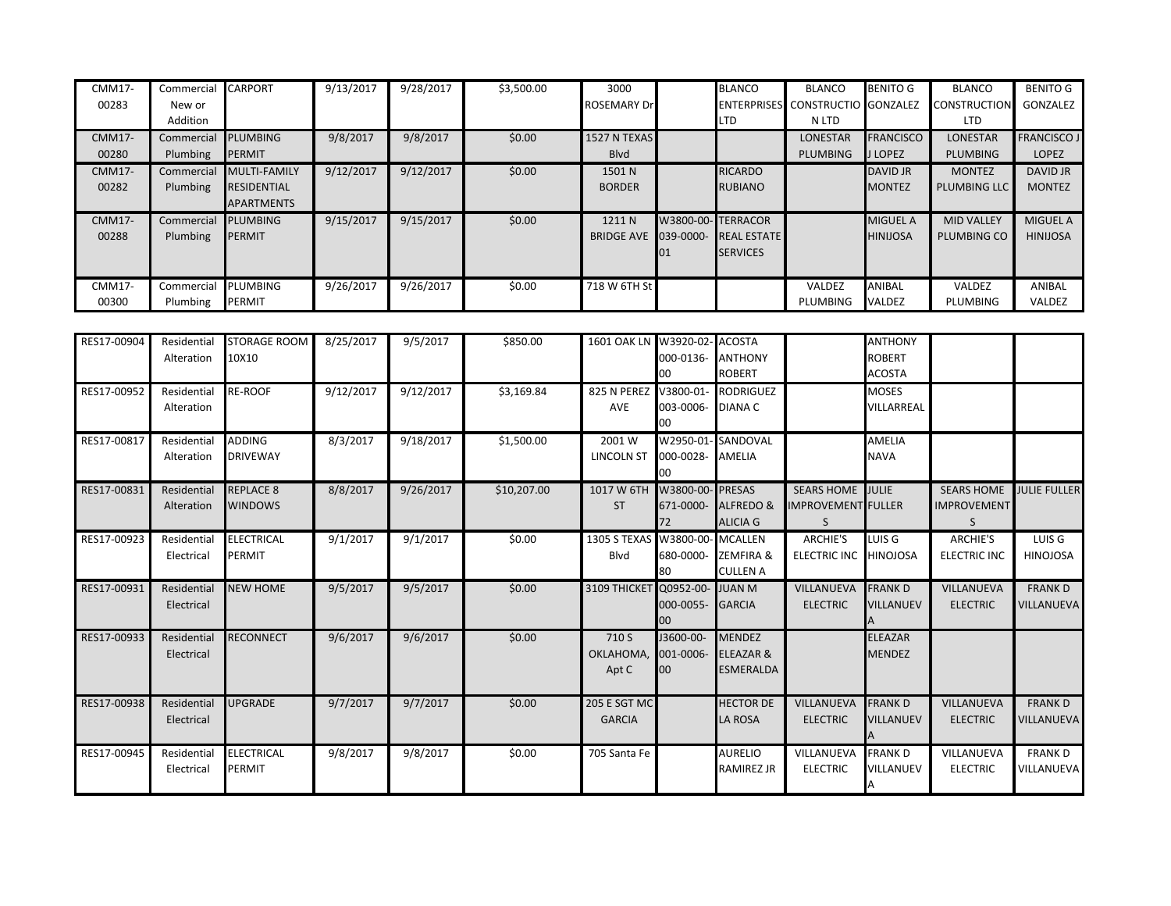| <b>CMM17-</b> | Commercial  | <b>CARPORT</b>      | 9/13/2017 | 9/28/2017 | \$3,500.00 | 3000                         |                   | <b>BLANCO</b>      | <b>BLANCO</b>                    | <b>BENITO G</b>  | <b>BLANCO</b>       | <b>BENITO G</b>     |
|---------------|-------------|---------------------|-----------|-----------|------------|------------------------------|-------------------|--------------------|----------------------------------|------------------|---------------------|---------------------|
| 00283         | New or      |                     |           |           |            | ROSEMARY Drl                 |                   |                    | ENTERPRISES CONSTRUCTIO GONZALEZ |                  | CONSTRUCTION        | GONZALEZ            |
|               | Addition    |                     |           |           |            |                              |                   | LTD                | N LTD                            |                  | <b>LTD</b>          |                     |
| <b>CMM17-</b> | Commercial  | <b>PLUMBING</b>     | 9/8/2017  | 9/8/2017  | \$0.00     | 1527 N TEXAS                 |                   |                    | <b>LONESTAR</b>                  | <b>FRANCISCO</b> | <b>LONESTAR</b>     | <b>FRANCISCO JI</b> |
| 00280         | Plumbing    | <b>PERMIT</b>       |           |           |            | Blvd                         |                   |                    | PLUMBING                         | J LOPEZ          | <b>PLUMBING</b>     | LOPEZ               |
| <b>CMM17-</b> | Commercial  | <b>MULTI-FAMILY</b> | 9/12/2017 | 9/12/2017 | \$0.00     | 1501 N                       |                   | <b>RICARDO</b>     |                                  | <b>DAVID JR</b>  | <b>MONTEZ</b>       | <b>DAVID JR</b>     |
| 00282         | Plumbing    | <b>RESIDENTIAL</b>  |           |           |            | <b>BORDER</b>                |                   | <b>RUBIANO</b>     |                                  | <b>MONTEZ</b>    | <b>PLUMBING LLC</b> | <b>MONTEZ</b>       |
|               |             | <b>APARTMENTS</b>   |           |           |            |                              |                   |                    |                                  |                  |                     |                     |
| <b>CMM17-</b> | Commercial  | <b>PLUMBING</b>     | 9/15/2017 | 9/15/2017 | \$0.00     | 1211 N                       | W3800-00-TERRACOR |                    |                                  | <b>MIGUEL A</b>  | <b>MID VALLEY</b>   | <b>MIGUEL A</b>     |
| 00288         | Plumbing    | PERMIT              |           |           |            | <b>BRIDGE AVE</b>            | 039-0000-         | <b>REAL ESTATE</b> |                                  | <b>HINIJOSA</b>  | PLUMBING CO         | <b>HINIJOSA</b>     |
|               |             |                     |           |           |            |                              |                   | <b>SERVICES</b>    |                                  |                  |                     |                     |
|               |             |                     |           |           |            |                              |                   |                    |                                  |                  |                     |                     |
| <b>CMM17-</b> | Commercial  | <b>PLUMBING</b>     | 9/26/2017 | 9/26/2017 | \$0.00     | 718 W 6TH St                 |                   |                    | VALDEZ                           | ANIBAL           | VALDEZ              | ANIBAL              |
| 00300         | Plumbing    | <b>PERMIT</b>       |           |           |            |                              |                   |                    | PLUMBING                         | VALDEZ           | PLUMBING            | VALDEZ              |
|               |             |                     |           |           |            |                              |                   |                    |                                  |                  |                     |                     |
| RES17-00904   | Residential | <b>STORAGE ROOM</b> | 8/25/2017 | 9/5/2017  | \$850.00   | 1601 OAK LN W3920-02- ACOSTA |                   |                    |                                  | <b>ANTHONY</b>   |                     |                     |
|               | Alteration  | 10X10               |           |           |            |                              | 000-0136- ANTHONY |                    |                                  | <b>ROBERT</b>    |                     |                     |
|               |             |                     |           |           |            |                              | nn.               | InOPT              |                                  | ACOCTA           |                     |                     |

|             | AILEI dUUI                | <b>ITAVIA</b>                      |           |           |             |                                       | UUU-UIJU- HIIIHUIII<br>00            | <b>ROBERT</b>                                             |                                               | <b>NUDENI</b><br><b>ACOSTA</b>     |                                              |                                     |
|-------------|---------------------------|------------------------------------|-----------|-----------|-------------|---------------------------------------|--------------------------------------|-----------------------------------------------------------|-----------------------------------------------|------------------------------------|----------------------------------------------|-------------------------------------|
| RES17-00952 | Residential<br>Alteration | <b>RE-ROOF</b>                     | 9/12/2017 | 9/12/2017 | \$3,169.84  | 825 N PEREZ<br><b>AVE</b>             | V3800-01-<br>003-0006-<br>nn         | <b>RODRIGUEZ</b><br><b>DIANA C</b>                        |                                               | <b>MOSES</b><br>VILLARREAL         |                                              |                                     |
| RES17-00817 | Residential<br>Alteration | <b>ADDING</b><br><b>DRIVEWAY</b>   | 8/3/2017  | 9/18/2017 | \$1,500.00  | 2001 W<br><b>LINCOLN ST</b>           | 000-0028- AMELIA                     | W2950-01-SANDOVAL                                         |                                               | <b>AMELIA</b><br><b>NAVA</b>       |                                              |                                     |
| RES17-00831 | Residential<br>Alteration | <b>REPLACE 8</b><br><b>WINDOWS</b> | 8/8/2017  | 9/26/2017 | \$10,207.00 | 1017 W 6TH<br><b>ST</b>               | W3800-00-PRESAS<br>72                | 671-0000- ALFREDO &<br><b>ALICIA G</b>                    | SEARS HOME JULIE<br><b>IMPROVEMENT FULLER</b> |                                    | <b>SEARS HOME</b><br><b>IMPROVEMENT</b><br>S | <b>JULIE FULLER</b>                 |
| RES17-00923 | Residential<br>Electrical | <b>ELECTRICAL</b><br><b>PERMIT</b> | 9/1/2017  | 9/1/2017  | \$0.00      | 1305 S TEXAS W3800-00-MCALLEN<br>Blvd |                                      | 680-0000- ZEMFIRA &<br>CULLEN A                           | ARCHIE'S<br>ELECTRIC INC HINOJOSA             | LUIS G                             | <b>ARCHIE'S</b><br><b>ELECTRIC INC</b>       | LUIS G<br><b>HINOJOSA</b>           |
| RES17-00931 | Residential<br>Electrical | <b>NEW HOME</b>                    | 9/5/2017  | 9/5/2017  | \$0.00      | 3109 THICKET                          | Q0952-00-<br>000-0055- GARCIA<br>DO. | <b>JUAN M</b>                                             | VILLANUEVA<br><b>ELECTRIC</b>                 | <b>FRANK D</b><br><b>VILLANUEV</b> | VILLANUEVA<br><b>ELECTRIC</b>                | <b>FRANKD</b><br>VILLANUEVA         |
| RES17-00933 | Residential<br>Electrical | <b>RECONNECT</b>                   | 9/6/2017  | 9/6/2017  | \$0.00      | 710 S<br>OKLAHOMA,<br>Apt C           | J3600-00-<br>001-0006-<br>DO.        | <b>MENDEZ</b><br><b>ELEAZAR &amp;</b><br><b>ESMERALDA</b> |                                               | <b>ELEAZAR</b><br><b>MENDEZ</b>    |                                              |                                     |
| RES17-00938 | Residential<br>Electrical | <b>UPGRADE</b>                     | 9/7/2017  | 9/7/2017  | \$0.00      | 205 E SGT MC<br><b>GARCIA</b>         |                                      | <b>HECTOR DE</b><br>LA ROSA                               | VILLANUEVA<br><b>ELECTRIC</b>                 | <b>FRANKD</b><br><b>VILLANUEV</b>  | VILLANUEVA<br><b>ELECTRIC</b>                | <b>FRANK D</b><br><b>VILLANUEVA</b> |
| RES17-00945 | Residential<br>Electrical | <b>ELECTRICAL</b><br><b>PERMIT</b> | 9/8/2017  | 9/8/2017  | \$0.00      | 705 Santa Fe                          |                                      | <b>AURELIO</b><br>RAMIREZ JR                              | VILLANUEVA<br><b>ELECTRIC</b>                 | <b>FRANK D</b><br>VILLANUEV        | VILLANUEVA<br><b>ELECTRIC</b>                | <b>FRANK D</b><br>VILLANUEVA        |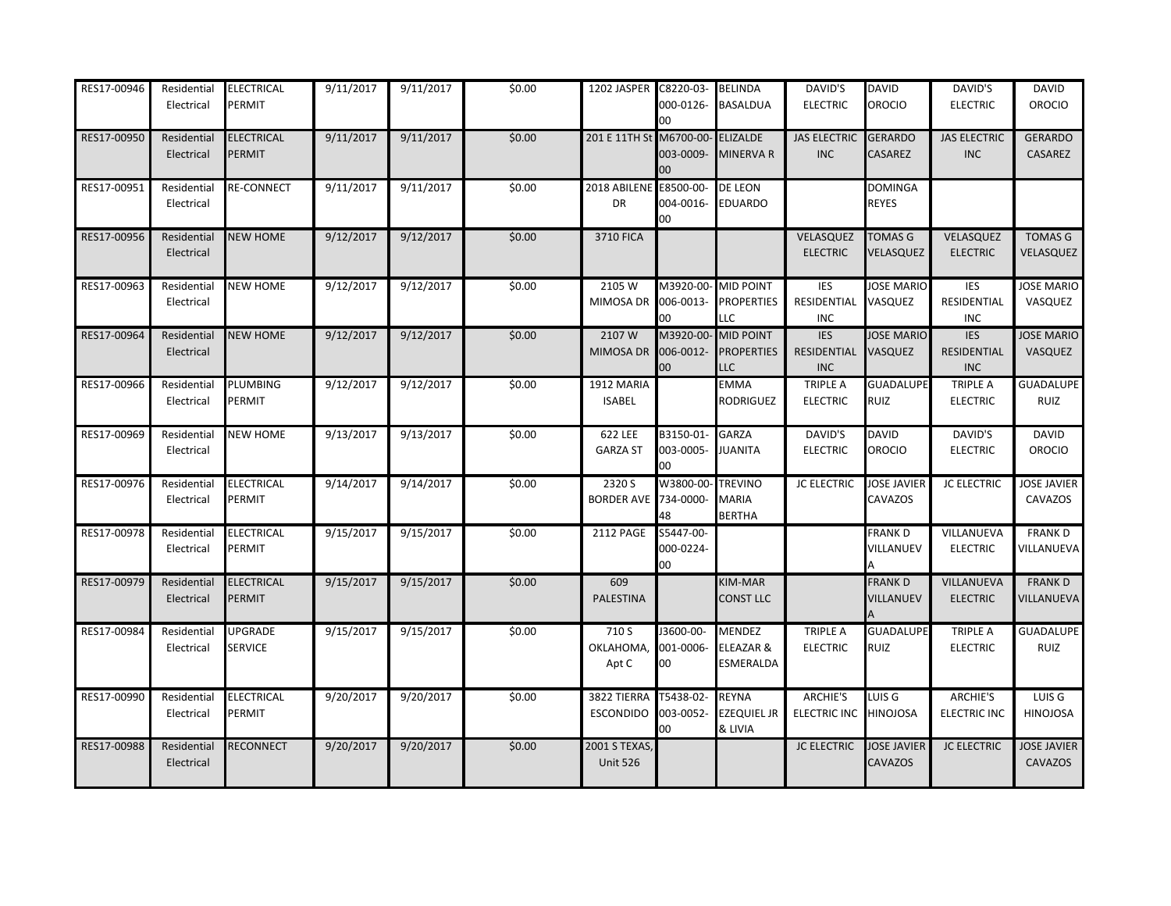| RES17-00946 | Residential<br>Electrical | <b>ELECTRICAL</b><br>PERMIT | 9/11/2017 | 9/11/2017 | \$0.00 | 1202 JASPER C8220-03-            | 000-0126-<br>00              | <b>BELINDA</b><br><b>BASALDUA</b>             | DAVID'S<br><b>ELECTRIC</b>              | <b>DAVID</b><br>OROCIO               | DAVID'S<br><b>ELECTRIC</b>              | <b>DAVID</b><br><b>OROCIO</b>   |
|-------------|---------------------------|-----------------------------|-----------|-----------|--------|----------------------------------|------------------------------|-----------------------------------------------|-----------------------------------------|--------------------------------------|-----------------------------------------|---------------------------------|
| RES17-00950 | Residential<br>Electrical | <b>ELECTRICAL</b><br>PERMIT | 9/11/2017 | 9/11/2017 | \$0.00 | 201 E 11TH St                    | M6700-00-<br>003-0009-<br>00 | <b>ELIZALDE</b><br>MINERVA R                  | <b>JAS ELECTRIC</b><br><b>INC</b>       | <b>GERARDO</b><br><b>CASAREZ</b>     | <b>JAS ELECTRIC</b><br><b>INC</b>       | <b>GERARDO</b><br>CASAREZ       |
| RES17-00951 | Residential<br>Electrical | <b>RE-CONNECT</b>           | 9/11/2017 | 9/11/2017 | \$0.00 | 2018 ABILENE E8500-00-<br>DR     | 004-0016-<br>00              | <b>DE LEON</b><br>EDUARDO                     |                                         | DOMINGA<br>REYES                     |                                         |                                 |
| RES17-00956 | Residential<br>Electrical | <b>NEW HOME</b>             | 9/12/2017 | 9/12/2017 | \$0.00 | <b>3710 FICA</b>                 |                              |                                               | VELASQUEZ<br><b>ELECTRIC</b>            | <b>TOMAS G</b><br>VELASQUEZ          | VELASQUEZ<br><b>ELECTRIC</b>            | <b>TOMAS G</b><br>VELASQUEZ     |
| RES17-00963 | Residential<br>Electrical | <b>NEW HOME</b>             | 9/12/2017 | 9/12/2017 | \$0.00 | 2105 W<br>MIMOSA DR              | M3920-00-<br>006-0013-<br>00 | <b>MID POINT</b><br><b>PROPERTIES</b><br>LLC  | <b>IES</b><br>RESIDENTIAL<br><b>INC</b> | <b>JOSE MARIO</b><br>VASQUEZ         | <b>IES</b><br>RESIDENTIAL<br><b>INC</b> | <b>JOSE MARIO</b><br>VASQUEZ    |
| RES17-00964 | Residential<br>Electrical | <b>NEW HOME</b>             | 9/12/2017 | 9/12/2017 | \$0.00 | 2107W<br>MIMOSA DR               | M3920-00-<br>006-0012-<br>00 | <b>MID POINT</b><br><b>PROPERTIES</b><br>LLC  | <b>IES</b><br>RESIDENTIAL<br><b>INC</b> | <b>JOSE MARIO</b><br>VASQUEZ         | <b>IES</b><br>RESIDENTIAL<br><b>INC</b> | <b>JOSE MARIO</b><br>VASQUEZ    |
| RES17-00966 | Residential<br>Electrical | PLUMBING<br>PERMIT          | 9/12/2017 | 9/12/2017 | \$0.00 | 1912 MARIA<br><b>ISABEL</b>      |                              | EMMA<br>RODRIGUEZ                             | <b>TRIPLE A</b><br><b>ELECTRIC</b>      | <b>GUADALUPE</b><br><b>RUIZ</b>      | <b>TRIPLE A</b><br><b>ELECTRIC</b>      | <b>GUADALUPE</b><br><b>RUIZ</b> |
| RES17-00969 | Residential<br>Electrical | <b>NEW HOME</b>             | 9/13/2017 | 9/13/2017 | \$0.00 | 622 LEE<br><b>GARZA ST</b>       | B3150-01-<br>003-0005-<br>00 | GARZA<br>JUANITA                              | DAVID'S<br><b>ELECTRIC</b>              | <b>DAVID</b><br>OROCIO               | DAVID'S<br><b>ELECTRIC</b>              | <b>DAVID</b><br><b>OROCIO</b>   |
| RES17-00976 | Residential<br>Electrical | <b>ELECTRICAL</b><br>PERMIT | 9/14/2017 | 9/14/2017 | \$0.00 | 2320 S<br><b>BORDER AVE</b>      | W3800-00<br>734-0000-<br>48  | <b>TREVINO</b><br>MARIA<br><b>BERTHA</b>      | <b>JC ELECTRIC</b>                      | <b>JOSE JAVIER</b><br>CAVAZOS        | <b>JC ELECTRIC</b>                      | <b>JOSE JAVIER</b><br>CAVAZOS   |
| RES17-00978 | Residential<br>Electrical | <b>ELECTRICAL</b><br>PERMIT | 9/15/2017 | 9/15/2017 | \$0.00 | 2112 PAGE                        | S5447-00-<br>000-0224-<br>00 |                                               |                                         | FRANK D<br>VILLANUEV                 | VILLANUEVA<br><b>ELECTRIC</b>           | <b>FRANKD</b><br>VILLANUEVA     |
| RES17-00979 | Residential<br>Electrical | <b>ELECTRICAL</b><br>PERMIT | 9/15/2017 | 9/15/2017 | \$0.00 | 609<br>PALESTINA                 |                              | KIM-MAR<br><b>CONST LLC</b>                   |                                         | <b>FRANKD</b><br>VILLANUEV           | VILLANUEVA<br><b>ELECTRIC</b>           | <b>FRANKD</b><br>VILLANUEVA     |
| RES17-00984 | Residential<br>Electrical | UPGRADE<br><b>SERVICE</b>   | 9/15/2017 | 9/15/2017 | \$0.00 | 710 S<br>OKLAHOMA,<br>Apt C      | J3600-00-<br>001-0006-<br>00 | MENDEZ<br>ELEAZAR &<br>ESMERALDA              | <b>TRIPLE A</b><br><b>ELECTRIC</b>      | <b>GUADALUPE</b><br><b>RUIZ</b>      | <b>TRIPLE A</b><br><b>ELECTRIC</b>      | <b>GUADALUPE</b><br>RUIZ        |
| RES17-00990 | Residential<br>Electrical | <b>ELECTRICAL</b><br>PERMIT | 9/20/2017 | 9/20/2017 | \$0.00 | 3822 TIERRA<br><b>ESCONDIDO</b>  | T5438-02-<br>003-0052-<br>00 | <b>REYNA</b><br><b>EZEQUIEL JR</b><br>& LIVIA | <b>ARCHIE'S</b><br><b>ELECTRIC INC</b>  | LUIS G<br><b>HINOJOSA</b>            | ARCHIE'S<br><b>ELECTRIC INC</b>         | LUIS G<br><b>HINOJOSA</b>       |
| RES17-00988 | Residential<br>Electrical | RECONNECT                   | 9/20/2017 | 9/20/2017 | \$0.00 | 2001 S TEXAS,<br><b>Unit 526</b> |                              |                                               | <b>JC ELECTRIC</b>                      | <b>JOSE JAVIER</b><br><b>CAVAZOS</b> | <b>JC ELECTRIC</b>                      | <b>JOSE JAVIER</b><br>CAVAZOS   |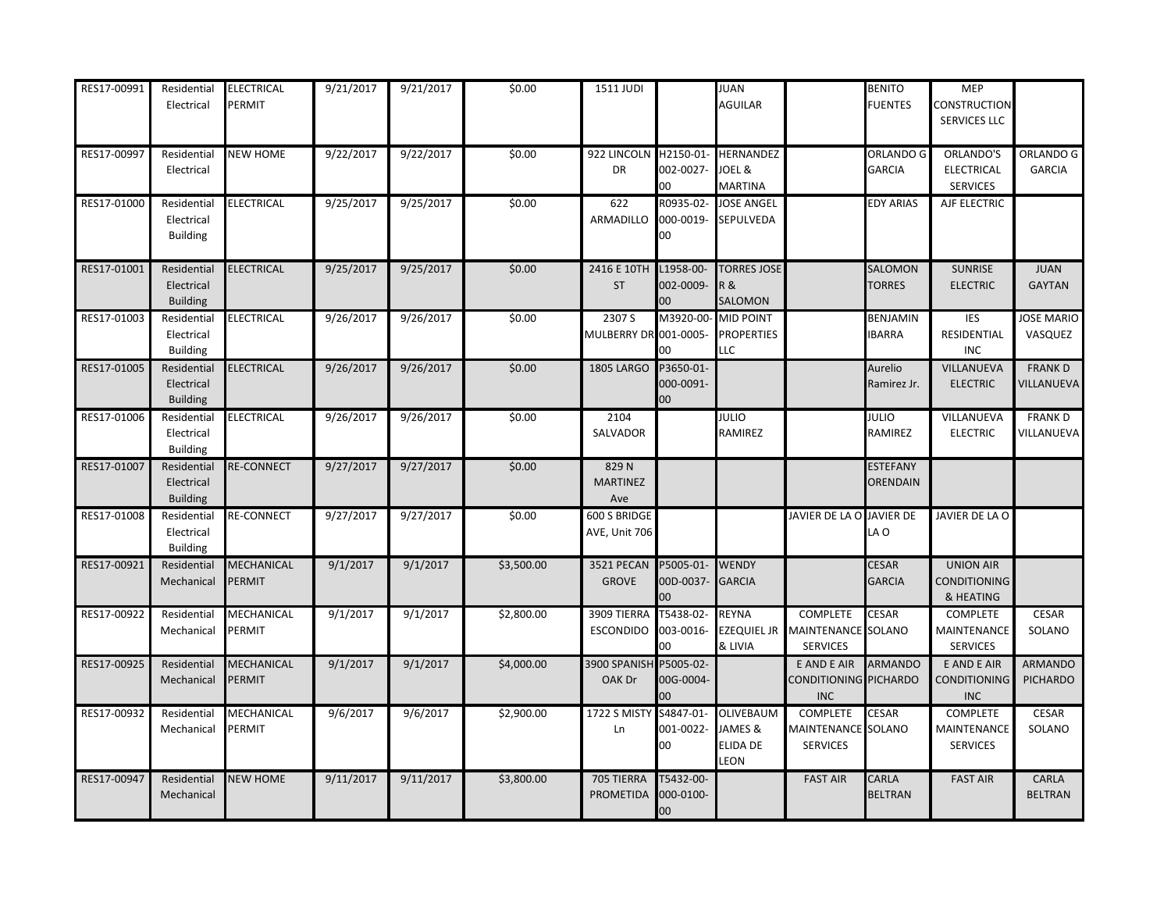| RES17-00991 | Residential<br>Electrical                    | ELECTRICAL<br>PERMIT        | 9/21/2017 | 9/21/2017 | \$0.00     | 1511 JUDI                                    |                                  | JUAN<br><b>AGUILAR</b>                                 |                                                          | <b>BENITO</b><br><b>FUENTES</b>    | <b>MEP</b><br><b>CONSTRUCTION</b><br>SERVICES LLC    |                              |
|-------------|----------------------------------------------|-----------------------------|-----------|-----------|------------|----------------------------------------------|----------------------------------|--------------------------------------------------------|----------------------------------------------------------|------------------------------------|------------------------------------------------------|------------------------------|
| RES17-00997 | Residential<br>Electrical                    | <b>NEW HOME</b>             | 9/22/2017 | 9/22/2017 | \$0.00     | 922 LINCOLN H2150-01- HERNANDEZ<br><b>DR</b> | 002-0027-<br>00                  | JOEL &<br><b>MARTINA</b>                               |                                                          | ORLANDO G<br><b>GARCIA</b>         | ORLANDO'S<br><b>ELECTRICAL</b><br><b>SERVICES</b>    | ORLANDO G<br><b>GARCIA</b>   |
| RES17-01000 | Residential<br>Electrical<br><b>Building</b> | ELECTRICAL                  | 9/25/2017 | 9/25/2017 | \$0.00     | 622<br>ARMADILLO                             | R0935-02-<br>000-0019-<br>00     | <b>JOSE ANGEL</b><br>SEPULVEDA                         |                                                          | <b>EDY ARIAS</b>                   | AJF ELECTRIC                                         |                              |
| RES17-01001 | Residential<br>Electrical<br><b>Building</b> | ELECTRICAL                  | 9/25/2017 | 9/25/2017 | \$0.00     | 2416 E 10TH<br><b>ST</b>                     | L1958-00-<br>002-0009-<br>00     | <b>TORRES JOSE</b><br><b>R&amp;</b><br>SALOMON         |                                                          | SALOMON<br><b>TORRES</b>           | <b>SUNRISE</b><br><b>ELECTRIC</b>                    | <b>JUAN</b><br><b>GAYTAN</b> |
| RES17-01003 | Residential<br>Electrical<br><b>Building</b> | <b>ELECTRICAL</b>           | 9/26/2017 | 9/26/2017 | \$0.00     | 2307 S<br>MULBERRY DR 001-0005-              | M3920-00-<br>00                  | <b>MID POINT</b><br><b>PROPERTIES</b><br><b>LLC</b>    |                                                          | <b>BENJAMIN</b><br><b>IBARRA</b>   | IES<br>RESIDENTIAL<br><b>INC</b>                     | <b>JOSE MARIO</b><br>VASQUEZ |
| RES17-01005 | Residential<br>Electrical<br><b>Building</b> | <b>ELECTRICAL</b>           | 9/26/2017 | 9/26/2017 | \$0.00     | <b>1805 LARGO</b>                            | P3650-01-<br>000-0091-<br>$00\,$ |                                                        |                                                          | Aurelio<br>Ramirez Jr.             | VILLANUEVA<br><b>ELECTRIC</b>                        | <b>FRANK D</b><br>VILLANUEVA |
| RES17-01006 | Residential<br>Electrical<br><b>Building</b> | ELECTRICAL                  | 9/26/2017 | 9/26/2017 | \$0.00     | 2104<br>SALVADOR                             |                                  | JULIO<br>RAMIREZ                                       |                                                          | JULIO<br>RAMIREZ                   | VILLANUEVA<br><b>ELECTRIC</b>                        | <b>FRANK D</b><br>VILLANUEVA |
| RES17-01007 | Residential<br>Electrical<br><b>Building</b> | <b>RE-CONNECT</b>           | 9/27/2017 | 9/27/2017 | \$0.00     | 829N<br><b>MARTINEZ</b><br>Ave               |                                  |                                                        |                                                          | <b>ESTEFANY</b><br><b>ORENDAIN</b> |                                                      |                              |
| RES17-01008 | Residential<br>Electrical<br><b>Building</b> | <b>RE-CONNECT</b>           | 9/27/2017 | 9/27/2017 | \$0.00     | 600 S BRIDGE<br>AVE, Unit 706                |                                  |                                                        | JAVIER DE LA O JAVIER DE                                 | LA O                               | JAVIER DE LA O                                       |                              |
| RES17-00921 | Residential<br>Mechanical                    | MECHANICAL<br><b>PERMIT</b> | 9/1/2017  | 9/1/2017  | \$3,500.00 | 3521 PECAN<br><b>GROVE</b>                   | P5005-01-<br>00D-0037-<br>00     | <b>WENDY</b><br><b>GARCIA</b>                          |                                                          | <b>CESAR</b><br><b>GARCIA</b>      | <b>UNION AIR</b><br><b>CONDITIONING</b><br>& HEATING |                              |
| RES17-00922 | Residential<br>Mechanical                    | MECHANICAL<br>PERMIT        | 9/1/2017  | 9/1/2017  | \$2,800.00 | 3909 TIERRA<br><b>ESCONDIDO</b>              | T5438-02-<br>003-0016-<br>00     | <b>REYNA</b><br><b>EZEQUIEL JR</b><br>& LIVIA          | <b>COMPLETE</b><br>MAINTENANCE SOLANO<br><b>SERVICES</b> | <b>CESAR</b>                       | COMPLETE<br>MAINTENANCE<br><b>SERVICES</b>           | CESAR<br>SOLANO              |
| RES17-00925 | Residential<br>Mechanical                    | MECHANICAL<br>PERMIT        | 9/1/2017  | 9/1/2017  | \$4,000.00 | 3900 SPANISH P5005-02-<br>OAK Dr             | 00G-0004-<br>00                  |                                                        | E AND E AIR<br>CONDITIONING PICHARDO<br><b>INC</b>       | <b>ARMANDO</b>                     | E AND E AIR<br>CONDITIONING<br><b>INC</b>            | ARMANDO<br><b>PICHARDO</b>   |
| RES17-00932 | Residential<br>Mechanical                    | MECHANICAL<br>PERMIT        | 9/6/2017  | 9/6/2017  | \$2,900.00 | 1722 S MISTY<br>Ln                           | S4847-01-<br>001-0022-<br>00     | <b>OLIVEBAUM</b><br>JAMES &<br>ELIDA DE<br><b>LEON</b> | <b>COMPLETE</b><br>MAINTENANCE SOLANO<br><b>SERVICES</b> | <b>CESAR</b>                       | <b>COMPLETE</b><br>MAINTENANCE<br><b>SERVICES</b>    | CESAR<br>SOLANO              |
| RES17-00947 | Residential<br>Mechanical                    | <b>NEW HOME</b>             | 9/11/2017 | 9/11/2017 | \$3,800.00 | 705 TIERRA<br>PROMETIDA                      | T5432-00-<br>000-0100-<br>00     |                                                        | <b>FAST AIR</b>                                          | <b>CARLA</b><br><b>BELTRAN</b>     | <b>FAST AIR</b>                                      | CARLA<br><b>BELTRAN</b>      |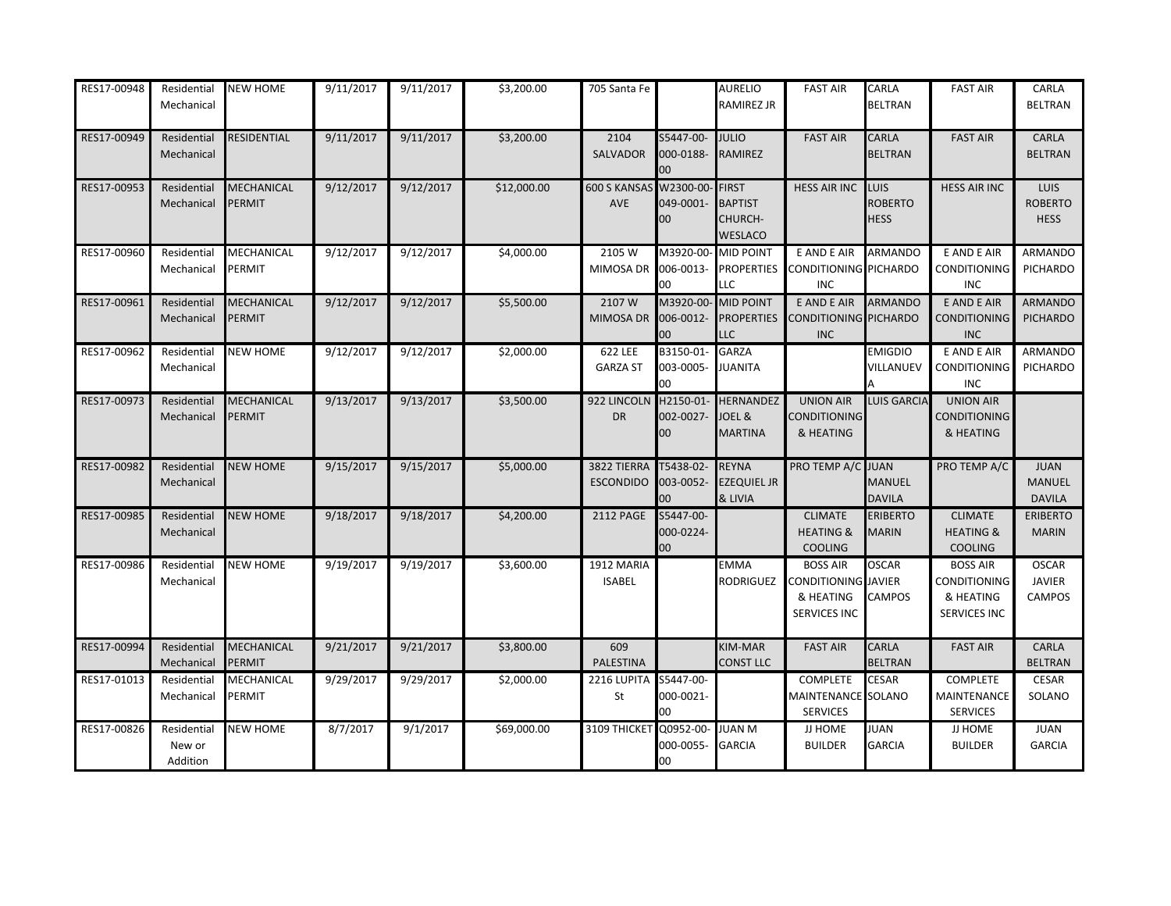| RES17-00948 | Residential<br>Mechanical         | <b>NEW HOME</b>             | 9/11/2017 | 9/11/2017 | \$3,200.00  | 705 Santa Fe                    |                              | AURELIO<br>RAMIREZ JR                                | <b>FAST AIR</b>                                                     | CARLA<br>BELTRAN                             | <b>FAST AIR</b>                                                     | CARLA<br><b>BELTRAN</b>                        |
|-------------|-----------------------------------|-----------------------------|-----------|-----------|-------------|---------------------------------|------------------------------|------------------------------------------------------|---------------------------------------------------------------------|----------------------------------------------|---------------------------------------------------------------------|------------------------------------------------|
| RES17-00949 | Residential<br>Mechanical         | RESIDENTIAL                 | 9/11/2017 | 9/11/2017 | \$3,200.00  | 2104<br>SALVADOR                | S5447-00-<br>000-0188-<br>00 | <b>JULIO</b><br>RAMIREZ                              | <b>FAST AIR</b>                                                     | <b>CARLA</b><br><b>BELTRAN</b>               | <b>FAST AIR</b>                                                     | CARLA<br><b>BELTRAN</b>                        |
| RES17-00953 | Residential<br>Mechanical         | MECHANICAL<br>PERMIT        | 9/12/2017 | 9/12/2017 | \$12,000.00 | 600 S KANSAS W2300-00-<br>AVE   | 049-0001-<br>00              | <b>FIRST</b><br><b>BAPTIST</b><br>CHURCH-<br>WESLACO | <b>HESS AIR INC</b>                                                 | <b>LUIS</b><br><b>ROBERTO</b><br><b>HESS</b> | <b>HESS AIR INC</b>                                                 | LUIS<br><b>ROBERTO</b><br><b>HESS</b>          |
| RES17-00960 | Residential<br>Mechanical         | MECHANICAL<br>PERMIT        | 9/12/2017 | 9/12/2017 | \$4,000.00  | 2105 W<br>MIMOSA DR             | M3920-00-<br>006-0013-<br>00 | <b>MID POINT</b><br><b>PROPERTIES</b><br><b>LLC</b>  | E AND E AIR<br>CONDITIONING PICHARDO<br><b>INC</b>                  | <b>ARMANDO</b>                               | E AND E AIR<br>CONDITIONING<br><b>INC</b>                           | ARMANDO<br>PICHARDO                            |
| RES17-00961 | Residential<br>Mechanical         | MECHANICAL<br>PERMIT        | 9/12/2017 | 9/12/2017 | \$5,500.00  | 2107W<br>MIMOSA DR              | M3920-00-<br>006-0012-<br>00 | <b>MID POINT</b><br><b>PROPERTIES</b><br>LLC         | E AND E AIR<br>CONDITIONING PICHARDO<br><b>INC</b>                  | <b>ARMANDO</b>                               | E AND E AIR<br><b>CONDITIONING</b><br><b>INC</b>                    | ARMANDO<br>PICHARDO                            |
| RES17-00962 | Residential<br>Mechanical         | <b>NEW HOME</b>             | 9/12/2017 | 9/12/2017 | \$2,000.00  | 622 LEE<br><b>GARZA ST</b>      | B3150-01-<br>003-0005-<br>00 | <b>GARZA</b><br><b>JUANITA</b>                       |                                                                     | <b>EMIGDIO</b><br>VILLANUEV                  | E AND E AIR<br>CONDITIONING<br><b>INC</b>                           | ARMANDO<br>PICHARDO                            |
| RES17-00973 | Residential<br>Mechanical         | <b>MECHANICAL</b><br>PERMIT | 9/13/2017 | 9/13/2017 | \$3,500.00  | 922 LINCOLN H2150-01-<br>DR     | 002-0027-<br>00              | <b>HERNANDEZ</b><br>JOEL &<br><b>MARTINA</b>         | <b>UNION AIR</b><br><b>CONDITIONING</b><br>& HEATING                | <b>LUIS GARCIA</b>                           | <b>UNION AIR</b><br><b>CONDITIONING</b><br>& HEATING                |                                                |
| RES17-00982 | Residential<br>Mechanical         | <b>NEW HOME</b>             | 9/15/2017 | 9/15/2017 | \$5,000.00  | 3822 TIERRA<br><b>ESCONDIDO</b> | T5438-02-<br>003-0052-<br>CC | <b>REYNA</b><br><b>EZEQUIEL JR</b><br>& LIVIA        | PRO TEMP A/C JUAN                                                   | <b>MANUEL</b><br><b>DAVILA</b>               | PRO TEMP A/C                                                        | <b>JUAN</b><br><b>MANUEL</b><br><b>DAVILA</b>  |
| RES17-00985 | Residential<br>Mechanical         | <b>NEW HOME</b>             | 9/18/2017 | 9/18/2017 | \$4,200.00  | <b>2112 PAGE</b>                | S5447-00-<br>000-0224-<br>00 |                                                      | <b>CLIMATE</b><br><b>HEATING &amp;</b><br><b>COOLING</b>            | <b>ERIBERTO</b><br><b>MARIN</b>              | <b>CLIMATE</b><br><b>HEATING &amp;</b><br><b>COOLING</b>            | <b>ERIBERTO</b><br><b>MARIN</b>                |
| RES17-00986 | Residential<br>Mechanical         | <b>NEW HOME</b>             | 9/19/2017 | 9/19/2017 | \$3,600.00  | 1912 MARIA<br><b>ISABEL</b>     |                              | <b>EMMA</b><br>RODRIGUEZ                             | <b>BOSS AIR</b><br>CONDITIONING JAVIER<br>& HEATING<br>SERVICES INC | <b>OSCAR</b><br>CAMPOS                       | <b>BOSS AIR</b><br>CONDITIONING<br>& HEATING<br><b>SERVICES INC</b> | <b>OSCAR</b><br><b>JAVIER</b><br><b>CAMPOS</b> |
| RES17-00994 | Residential<br>Mechanical         | MECHANICAL<br>PERMIT        | 9/21/2017 | 9/21/2017 | \$3,800.00  | 609<br>PALESTINA                |                              | KIM-MAR<br><b>CONST LLC</b>                          | <b>FAST AIR</b>                                                     | <b>CARLA</b><br><b>BELTRAN</b>               | <b>FAST AIR</b>                                                     | CARLA<br><b>BELTRAN</b>                        |
| RES17-01013 | Residential<br>Mechanical         | MECHANICAL<br>PERMIT        | 9/29/2017 | 9/29/2017 | \$2,000.00  | 2216 LUPITA S5447-00-<br>St     | 000-0021-<br>00              |                                                      | <b>COMPLETE</b><br>MAINTENANCE SOLANO<br><b>SERVICES</b>            | <b>CESAR</b>                                 | <b>COMPLETE</b><br><b>MAINTENANCE</b><br><b>SERVICES</b>            | <b>CESAR</b><br>SOLANO                         |
| RES17-00826 | Residential<br>New or<br>Addition | <b>NEW HOME</b>             | 8/7/2017  | 9/1/2017  | \$69,000.00 | 3109 THICKET                    | 20952-00-<br>000-0055-<br>00 | <b>JUAN M</b><br><b>GARCIA</b>                       | JJ HOME<br><b>BUILDER</b>                                           | JUAN<br><b>GARCIA</b>                        | JJ HOME<br><b>BUILDER</b>                                           | <b>JUAN</b><br><b>GARCIA</b>                   |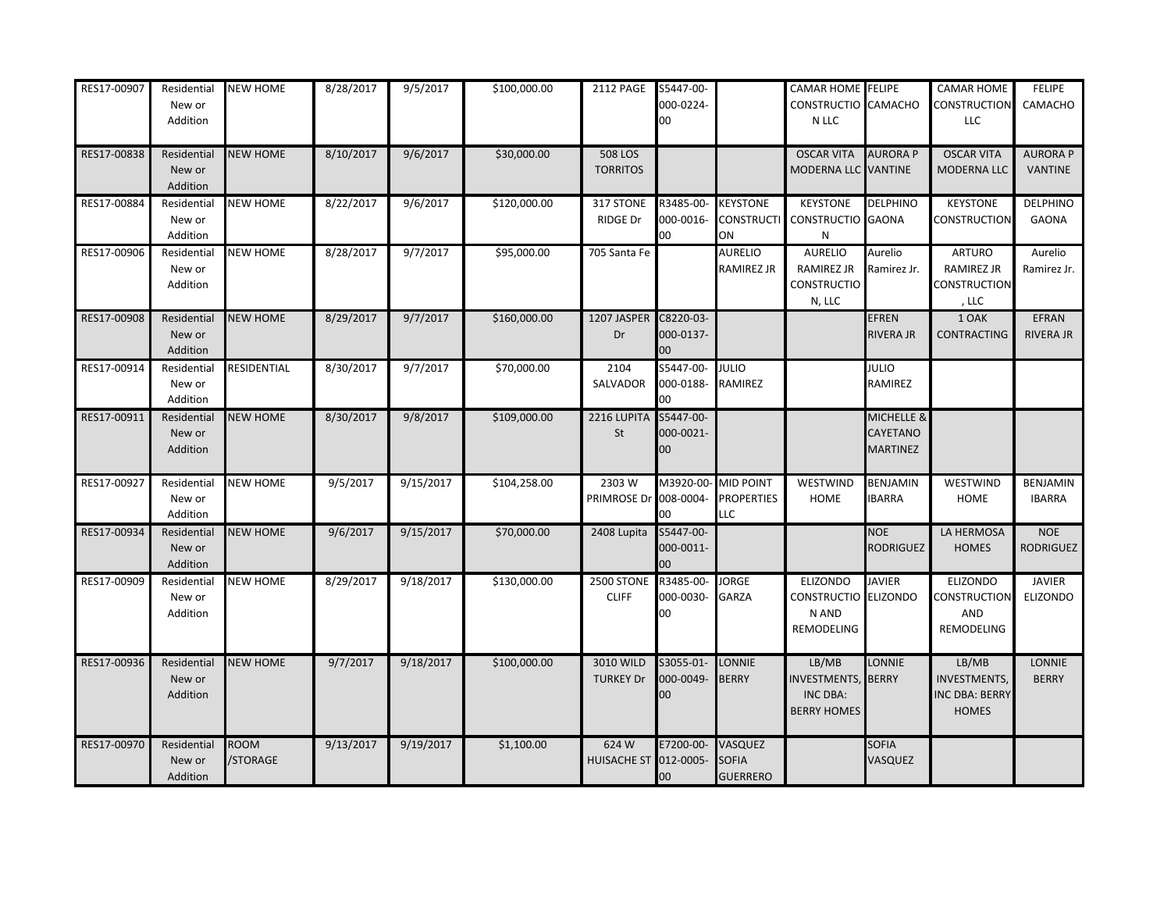| RES17-00907 | Residential<br>New or<br>Addition | <b>NEW HOME</b>         | 8/28/2017 | 9/5/2017  | \$100,000.00 | 2112 PAGE                         | S5447-00-<br>000-0224-<br>00      |                                                   | <b>CAMAR HOME</b> FELIPE<br>CONSTRUCTIO CAMACHO<br>N LLC      |                                           | CAMAR HOME<br><b>CONSTRUCTION</b><br>LLC                       | <b>FELIPE</b><br>CAMACHO          |
|-------------|-----------------------------------|-------------------------|-----------|-----------|--------------|-----------------------------------|-----------------------------------|---------------------------------------------------|---------------------------------------------------------------|-------------------------------------------|----------------------------------------------------------------|-----------------------------------|
| RES17-00838 | Residential<br>New or<br>Addition | <b>NEW HOME</b>         | 8/10/2017 | 9/6/2017  | \$30,000.00  | <b>508 LOS</b><br><b>TORRITOS</b> |                                   |                                                   | <b>OSCAR VITA</b><br>MODERNA LLC VANTINE                      | <b>AURORA P</b>                           | <b>OSCAR VITA</b><br><b>MODERNA LLC</b>                        | <b>AURORA P</b><br><b>VANTINE</b> |
| RES17-00884 | Residential<br>New or<br>Addition | <b>NEW HOME</b>         | 8/22/2017 | 9/6/2017  | \$120,000.00 | 317 STONE<br><b>RIDGE Dr</b>      | R3485-00-<br>000-0016-<br>00      | <b>KEYSTONE</b><br><b>CONSTRUCTI</b><br>ON        | <b>KEYSTONE</b><br>CONSTRUCTIO GAONA<br>${\sf N}$             | <b>DELPHINO</b>                           | <b>KEYSTONE</b><br><b>CONSTRUCTION</b>                         | <b>DELPHINO</b><br><b>GAONA</b>   |
| RES17-00906 | Residential<br>New or<br>Addition | <b>NEW HOME</b>         | 8/28/2017 | 9/7/2017  | \$95,000.00  | 705 Santa Fe                      |                                   | <b>AURELIO</b><br>RAMIREZ JR                      | AURELIO<br>RAMIREZ JR<br><b>CONSTRUCTIO</b><br>N, LLC         | Aurelio<br>Ramirez Jr.                    | <b>ARTURO</b><br>RAMIREZ JR<br><b>CONSTRUCTION</b><br>, LLC    | Aurelio<br>Ramirez Jr.            |
| RES17-00908 | Residential<br>New or<br>Addition | <b>NEW HOME</b>         | 8/29/2017 | 9/7/2017  | \$160,000.00 | 1207 JASPER<br>Dr                 | C8220-03-<br>000-0137-<br>$00 \,$ |                                                   |                                                               | <b>EFREN</b><br><b>RIVERA JR</b>          | 1 OAK<br><b>CONTRACTING</b>                                    | EFRAN<br><b>RIVERA JR</b>         |
| RES17-00914 | Residential<br>New or<br>Addition | RESIDENTIAL             | 8/30/2017 | 9/7/2017  | \$70,000.00  | 2104<br>SALVADOR                  | S5447-00-<br>000-0188-<br>00      | <b>JULIO</b><br>RAMIREZ                           |                                                               | <b>JULIO</b><br>RAMIREZ                   |                                                                |                                   |
| RES17-00911 | Residential<br>New or<br>Addition | <b>NEW HOME</b>         | 8/30/2017 | 9/8/2017  | \$109,000.00 | 2216 LUPITA<br>St                 | S5447-00-<br>000-0021-<br>00      |                                                   |                                                               | MICHELLE &<br>CAYETANO<br><b>MARTINEZ</b> |                                                                |                                   |
| RES17-00927 | Residential<br>New or<br>Addition | <b>NEW HOME</b>         | 9/5/2017  | 9/15/2017 | \$104,258.00 | 2303W<br>PRIMROSE Dr              | M3920-00-<br>008-0004-<br>00      | <b>MID POINT</b><br><b>PROPERTIES</b><br>LLC      | WESTWIND<br>HOME                                              | <b>BENJAMIN</b><br><b>IBARRA</b>          | WESTWIND<br>HOME                                               | BENJAMIN<br><b>IBARRA</b>         |
| RES17-00934 | Residential<br>New or<br>Addition | <b>NEW HOME</b>         | 9/6/2017  | 9/15/2017 | \$70,000.00  | 2408 Lupita                       | S5447-00-<br>000-0011-<br>00      |                                                   |                                                               | <b>NOE</b><br><b>RODRIGUEZ</b>            | LA HERMOSA<br><b>HOMES</b>                                     | <b>NOE</b><br><b>RODRIGUEZ</b>    |
| RES17-00909 | Residential<br>New or<br>Addition | <b>NEW HOME</b>         | 8/29/2017 | 9/18/2017 | \$130,000.00 | 2500 STONE<br><b>CLIFF</b>        | R3485-00-<br>000-0030-<br>00      | <b>JORGE</b><br><b>GARZA</b>                      | ELIZONDO<br>CONSTRUCTIO ELIZONDO<br>N AND<br>REMODELING       | <b>JAVIER</b>                             | <b>ELIZONDO</b><br><b>CONSTRUCTION</b><br>AND<br>REMODELING    | <b>JAVIER</b><br><b>ELIZONDO</b>  |
| RES17-00936 | Residential<br>New or<br>Addition | <b>NEW HOME</b>         | 9/7/2017  | 9/18/2017 | \$100,000.00 | 3010 WILD<br><b>TURKEY Dr</b>     | S3055-01-<br>000-0049-<br>00      | <b>LONNIE</b><br><b>BERRY</b>                     | LB/MB<br>INVESTMENTS, BERRY<br>INC DBA:<br><b>BERRY HOMES</b> | <b>LONNIE</b>                             | LB/MB<br><b>INVESTMENTS,</b><br>INC DBA: BERRY<br><b>HOMES</b> | <b>LONNIE</b><br><b>BERRY</b>     |
| RES17-00970 | Residential<br>New or<br>Addition | <b>ROOM</b><br>/STORAGE | 9/13/2017 | 9/19/2017 | \$1,100.00   | 624 W<br><b>HUISACHE ST</b>       | E7200-00-<br>012-0005-<br>00      | <b>VASQUEZ</b><br><b>SOFIA</b><br><b>GUERRERO</b> |                                                               | <b>SOFIA</b><br><b>ASQUEZ</b>             |                                                                |                                   |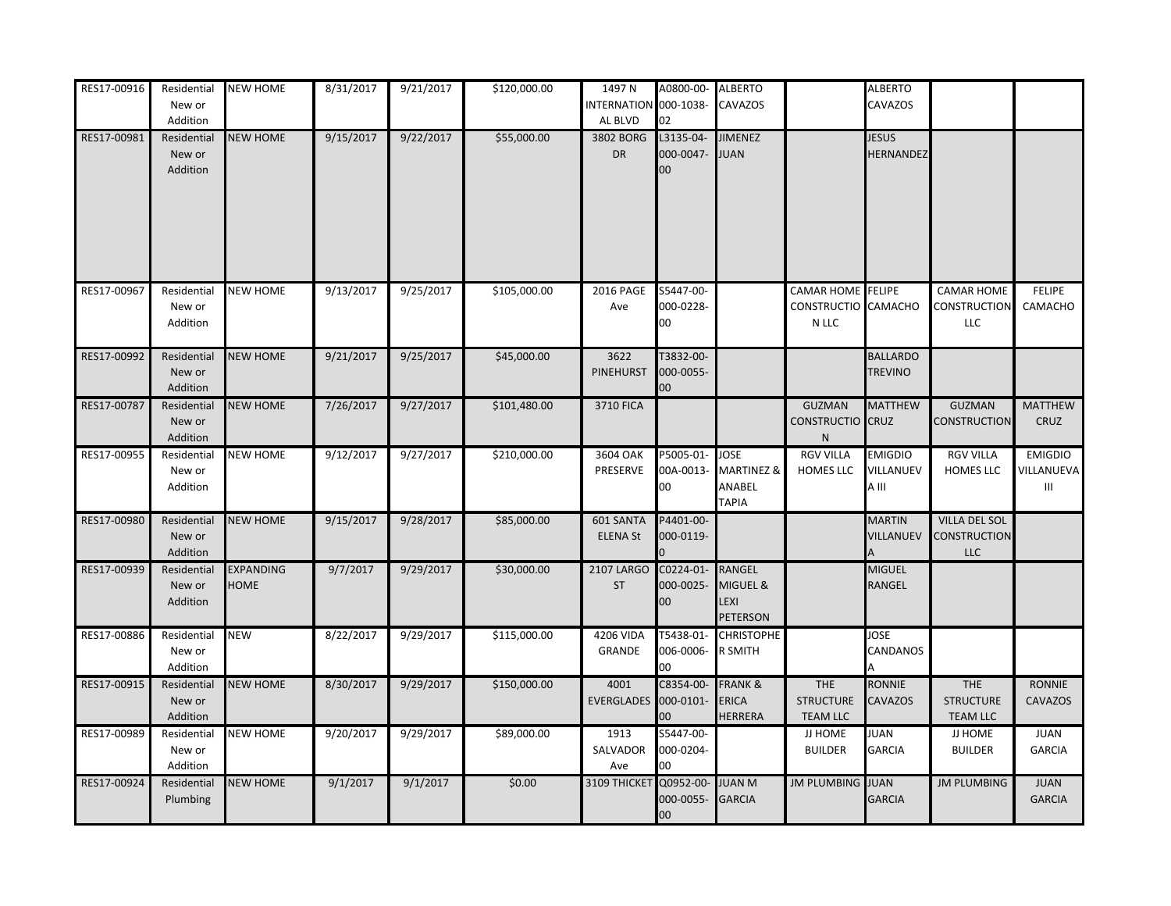| RES17-00916 | Residential                       | <b>NEW HOME</b>          | 8/31/2017 | 9/21/2017 | \$120,000.00 | 1497 N                         | A0800-00-                        | <b>ALBERTO</b>                                       |                                                          | <b>ALBERTO</b>                       |                                                           |                                   |
|-------------|-----------------------------------|--------------------------|-----------|-----------|--------------|--------------------------------|----------------------------------|------------------------------------------------------|----------------------------------------------------------|--------------------------------------|-----------------------------------------------------------|-----------------------------------|
|             | New or                            |                          |           |           |              | INTERNATION 000-1038-          |                                  | CAVAZOS                                              |                                                          | CAVAZOS                              |                                                           |                                   |
|             | Addition                          |                          |           |           |              | AL BLVD                        | 02                               |                                                      |                                                          |                                      |                                                           |                                   |
| RES17-00981 | Residential<br>New or<br>Addition | <b>NEW HOME</b>          | 9/15/2017 | 9/22/2017 | \$55,000.00  | 3802 BORG<br><b>DR</b>         | L3135-04-<br>000-0047-<br>00     | <b>JIMENEZ</b><br><b>JUAN</b>                        |                                                          | <b>JESUS</b><br><b>HERNANDEZ</b>     |                                                           |                                   |
|             |                                   |                          |           |           |              |                                |                                  |                                                      |                                                          |                                      |                                                           |                                   |
| RES17-00967 | Residential<br>New or<br>Addition | <b>NEW HOME</b>          | 9/13/2017 | 9/25/2017 | \$105,000.00 | 2016 PAGE<br>Ave               | S5447-00-<br>000-0228-<br>00     |                                                      | <b>CAMAR HOME</b> FELIPE<br>CONSTRUCTIO CAMACHO<br>N LLC |                                      | <b>CAMAR HOME</b><br>CONSTRUCTION<br>LLC                  | <b>FELIPE</b><br>CAMACHO          |
| RES17-00992 | Residential<br>New or<br>Addition | <b>NEW HOME</b>          | 9/21/2017 | 9/25/2017 | \$45,000.00  | 3622<br>PINEHURST              | T3832-00-<br>000-0055-<br>00     |                                                      |                                                          | <b>BALLARDO</b><br><b>TREVINO</b>    |                                                           |                                   |
| RES17-00787 | Residential<br>New or<br>Addition | <b>NEW HOME</b>          | 7/26/2017 | 9/27/2017 | \$101,480.00 | <b>3710 FICA</b>               |                                  |                                                      | <b>GUZMAN</b><br>CONSTRUCTIO CRUZ<br>$\mathsf{N}$        | <b>MATTHEW</b>                       | <b>GUZMAN</b><br><b>CONSTRUCTION</b>                      | <b>MATTHEW</b><br>CRUZ            |
| RES17-00955 | Residential<br>New or<br>Addition | <b>NEW HOME</b>          | 9/12/2017 | 9/27/2017 | \$210,000.00 | 3604 OAK<br>PRESERVE           | P5005-01-<br>00A-0013-<br>00     | <b>JOSE</b><br>MARTINEZ &<br>ANABEL<br><b>TAPIA</b>  | <b>RGV VILLA</b><br>HOMES LLC                            | <b>EMIGDIO</b><br>VILLANUEV<br>A III | <b>RGV VILLA</b><br><b>HOMES LLC</b>                      | <b>EMIGDIO</b><br>VILLANUEVA<br>Ш |
| RES17-00980 | Residential<br>New or<br>Addition | <b>NEW HOME</b>          | 9/15/2017 | 9/28/2017 | \$85,000.00  | 601 SANTA<br><b>ELENA St</b>   | P4401-00-<br>000-0119-           |                                                      |                                                          | <b>MARTIN</b><br>VILLANUEV           | <b>VILLA DEL SOL</b><br><b>CONSTRUCTION</b><br><b>LLC</b> |                                   |
| RES17-00939 | Residential<br>New or<br>Addition | <b>EXPANDING</b><br>HOME | 9/7/2017  | 9/29/2017 | \$30,000.00  | <b>2107 LARGO</b><br><b>ST</b> | C0224-01-<br>000-0025-<br>00     | <b>RANGEL</b><br>MIGUEL &<br>LEXI<br>PETERSON        |                                                          | MIGUEL<br><b>RANGEL</b>              |                                                           |                                   |
| RES17-00886 | Residential<br>New or<br>Addition | <b>NEW</b>               | 8/22/2017 | 9/29/2017 | \$115,000.00 | <b>4206 VIDA</b><br>GRANDE     | T5438-01-<br>006-0006-<br>00     | <b>CHRISTOPHE</b><br>R SMITH                         |                                                          | <b>JOSE</b><br>CANDANOS              |                                                           |                                   |
| RES17-00915 | Residential<br>New or<br>Addition | <b>NEW HOME</b>          | 8/30/2017 | 9/29/2017 | \$150,000.00 | 4001<br>EVERGLADES             | C8354-00-<br>000-0101-<br>00     | <b>FRANK &amp;</b><br><b>ERICA</b><br><b>HERRERA</b> | <b>THE</b><br><b>STRUCTURE</b><br><b>TEAM LLC</b>        | <b>RONNIE</b><br><b>CAVAZOS</b>      | THE<br><b>STRUCTURE</b><br><b>TEAM LLC</b>                | <b>RONNIE</b><br><b>CAVAZOS</b>   |
| RES17-00989 | Residential<br>New or<br>Addition | <b>NEW HOME</b>          | 9/20/2017 | 9/29/2017 | \$89,000.00  | 1913<br>SALVADOR<br>Ave        | S5447-00-<br>000-0204-<br>DO.    |                                                      | JJ HOME<br><b>BUILDER</b>                                | JUAN<br><b>GARCIA</b>                | JJ HOME<br><b>BUILDER</b>                                 | <b>JUAN</b><br><b>GARCIA</b>      |
| RES17-00924 | Residential<br>Plumbing           | <b>NEW HOME</b>          | 9/1/2017  | 9/1/2017  | \$0.00       | 3109 THICKET                   | Q0952-00-<br>000-0055-<br>$00\,$ | <b>JUAN M</b><br><b>GARCIA</b>                       | <b>JM PLUMBING</b>                                       | <b>JUAN</b><br><b>GARCIA</b>         | <b>JM PLUMBING</b>                                        | <b>JUAN</b><br><b>GARCIA</b>      |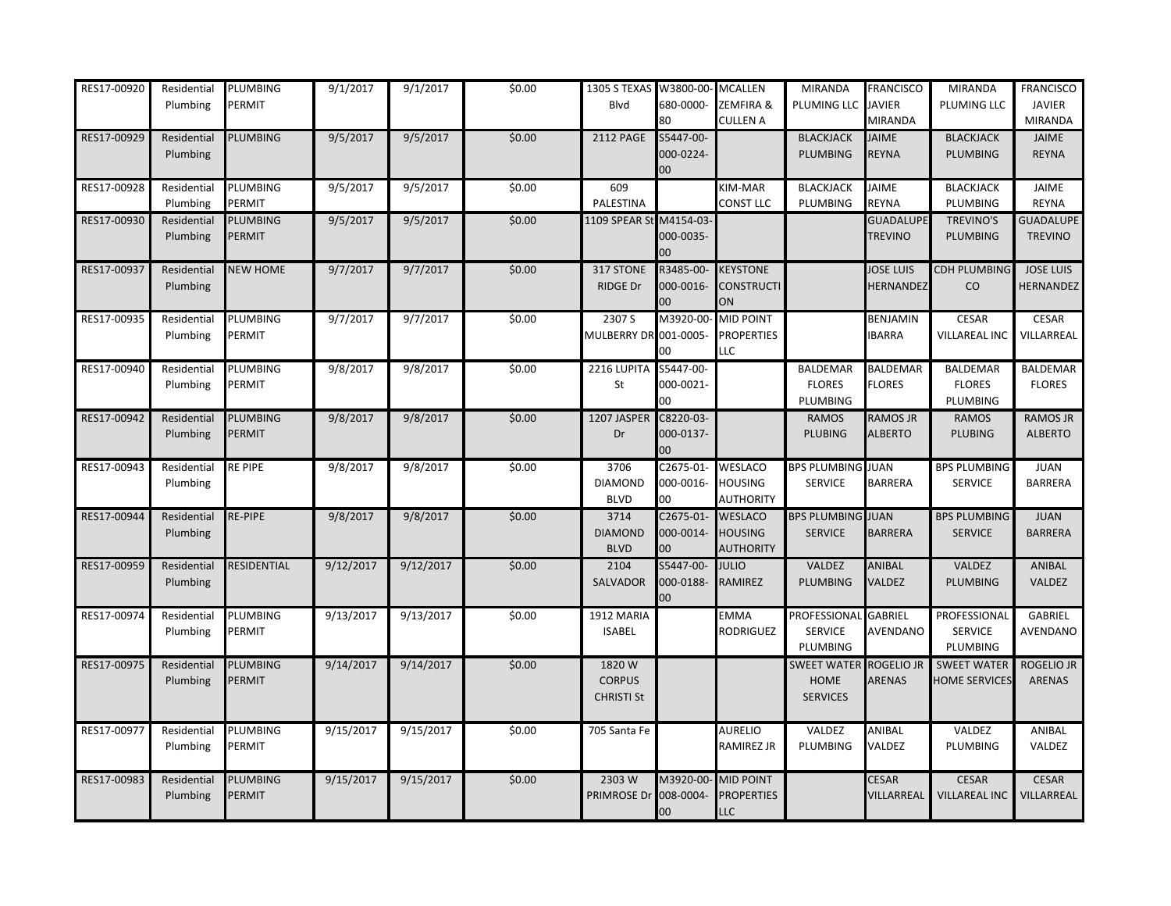| RES17-00920 | Residential<br>Plumbing | PLUMBING<br>PERMIT        | 9/1/2017  | 9/1/2017  | \$0.00 | 1305 S TEXAS W3800-00-<br>Blvd              | 580-0000-<br>80               | <b>MCALLEN</b><br>ZEMFIRA &<br>CULLEN A       | MIRANDA<br>PLUMING LLC                                   | <b>FRANCISCO</b><br><b>JAVIER</b><br>MIRANDA | <b>MIRANDA</b><br>PLUMING LLC              | <b>FRANCISCO</b><br><b>JAVIER</b><br><b>MIRANDA</b> |
|-------------|-------------------------|---------------------------|-----------|-----------|--------|---------------------------------------------|-------------------------------|-----------------------------------------------|----------------------------------------------------------|----------------------------------------------|--------------------------------------------|-----------------------------------------------------|
| RES17-00929 | Residential<br>Plumbing | PLUMBING                  | 9/5/2017  | 9/5/2017  | \$0.00 | <b>2112 PAGE</b>                            | S5447-00-<br>000-0224-<br>00  |                                               | <b>BLACKJACK</b><br><b>PLUMBING</b>                      | <b>JAIME</b><br>REYNA                        | <b>BLACKJACK</b><br>PLUMBING               | JAIME<br><b>REYNA</b>                               |
| RES17-00928 | Residential<br>Plumbing | PLUMBING<br>PERMIT        | 9/5/2017  | 9/5/2017  | \$0.00 | 609<br>PALESTINA                            |                               | KIM-MAR<br>CONST LLC                          | <b>BLACKJACK</b><br>PLUMBING                             | <b>JAIME</b><br><b>REYNA</b>                 | <b>BLACKJACK</b><br>PLUMBING               | JAIME<br><b>REYNA</b>                               |
| RES17-00930 | Residential<br>Plumbing | PLUMBING<br>PERMIT        | 9/5/2017  | 9/5/2017  | \$0.00 | 1109 SPEAR St M4154-03-                     | 000-0035-<br>ОC               |                                               |                                                          | <b>GUADALUPE</b><br><b>TREVINO</b>           | <b>TREVINO'S</b><br><b>PLUMBING</b>        | <b>GUADALUPE</b><br><b>TREVINO</b>                  |
| RES17-00937 | Residential<br>Plumbing | <b>NEW HOME</b>           | 9/7/2017  | 9/7/2017  | \$0.00 | 317 STONE<br><b>RIDGE Dr</b>                | R3485-00-<br>000-0016-<br>ОC  | <b>KEYSTONE</b><br><b>CONSTRUCTI</b><br>ON    |                                                          | <b>JOSE LUIS</b><br>HERNANDEZ                | <b>CDH PLUMBING</b><br>CO                  | <b>JOSE LUIS</b><br>HERNANDEZ                       |
| RES17-00935 | Residential<br>Plumbing | PLUMBING<br>PERMIT        | 9/7/2017  | 9/7/2017  | \$0.00 | 2307 S<br>MULBERRY DR 001-0005-             | M3920-00-<br>OC.              | <b>MID POINT</b><br><b>PROPERTIES</b><br>LLC  |                                                          | BENJAMIN<br><b>IBARRA</b>                    | <b>CESAR</b><br>VILLAREAL INC              | <b>CESAR</b><br>VILLARREAL                          |
| RES17-00940 | Residential<br>Plumbing | PLUMBING<br>PERMIT        | 9/8/2017  | 9/8/2017  | \$0.00 | 2216 LUPITA S5447-00-<br>St                 | 000-0021-<br>00               |                                               | BALDEMAR<br><b>FLORES</b><br>PLUMBING                    | <b>BALDEMAR</b><br><b>FLORES</b>             | BALDEMAR<br><b>FLORES</b><br>PLUMBING      | BALDEMAR<br><b>FLORES</b>                           |
| RES17-00942 | Residential<br>Plumbing | PLUMBING<br>PERMIT        | 9/8/2017  | 9/8/2017  | \$0.00 | 1207 JASPER<br>Dr                           | C8220-03-<br>000-0137-<br>00  |                                               | <b>RAMOS</b><br><b>PLUBING</b>                           | RAMOS JR<br><b>ALBERTO</b>                   | <b>RAMOS</b><br><b>PLUBING</b>             | <b>RAMOS JR</b><br><b>ALBERTO</b>                   |
| RES17-00943 | Residential<br>Plumbing | RE PIPE                   | 9/8/2017  | 9/8/2017  | \$0.00 | 3706<br><b>DIAMOND</b><br><b>BLVD</b>       | C2675-01-<br>000-0016-<br>Э0  | WESLACO<br><b>HOUSING</b><br><b>AUTHORITY</b> | <b>BPS PLUMBING JUAN</b><br><b>SERVICE</b>               | <b>BARRERA</b>                               | <b>BPS PLUMBING</b><br><b>SERVICE</b>      | <b>JUAN</b><br><b>BARRERA</b>                       |
| RES17-00944 | Residential<br>Plumbing | RE-PIPE                   | 9/8/2017  | 9/8/2017  | \$0.00 | 3714<br><b>DIAMOND</b><br><b>BLVD</b>       | C2675-01-<br>000-0014-<br>00  | <b>WESLACO</b><br><b>HOUSING</b><br>AUTHORITY | <b>BPS PLUMBING JUAN</b><br><b>SERVICE</b>               | <b>BARRERA</b>                               | <b>BPS PLUMBING</b><br><b>SERVICE</b>      | <b>JUAN</b><br><b>BARRERA</b>                       |
| RES17-00959 | Residential<br>Plumbing | RESIDENTIAL               | 9/12/2017 | 9/12/2017 | \$0.00 | 2104<br>SALVADOR                            | S5447-00-<br>000-0188-<br>ОC  | <b>JULIO</b><br>RAMIREZ                       | VALDEZ<br><b>PLUMBING</b>                                | ANIBAL<br>VALDEZ                             | VALDEZ<br><b>PLUMBING</b>                  | ANIBAL<br>VALDEZ                                    |
| RES17-00974 | Residential<br>Plumbing | PLUMBING<br>PERMIT        | 9/13/2017 | 9/13/2017 | \$0.00 | 1912 MARIA<br><b>ISABEL</b>                 |                               | EMMA<br><b>RODRIGUEZ</b>                      | PROFESSIONAL GABRIEL<br><b>SERVICE</b><br>PLUMBING       | AVENDANO                                     | PROFESSIONAL<br><b>SERVICE</b><br>PLUMBING | GABRIEL<br>AVENDANO                                 |
| RES17-00975 | Residential<br>Plumbing | PLUMBING<br>PERMIT        | 9/14/2017 | 9/14/2017 | \$0.00 | 1820W<br><b>CORPUS</b><br><b>CHRISTI St</b> |                               |                                               | SWEET WATER ROGELIO JR<br><b>HOME</b><br><b>SERVICES</b> | ARENAS                                       | <b>SWEET WATER</b><br><b>HOME SERVICES</b> | ROGELIO JR<br><b>ARENAS</b>                         |
| RES17-00977 | Residential<br>Plumbing | PLUMBING<br>PERMIT        | 9/15/2017 | 9/15/2017 | \$0.00 | 705 Santa Fe                                |                               | <b>AURELIO</b><br>RAMIREZ JR                  | VALDEZ<br>PLUMBING                                       | ANIBAL<br>VALDEZ                             | VALDEZ<br>PLUMBING                         | ANIBAL<br>VALDEZ                                    |
| RES17-00983 | Residential<br>Plumbing | PLUMBING<br><b>PERMIT</b> | 9/15/2017 | 9/15/2017 | \$0.00 | 2303W<br>PRIMROSE Dr                        | V13920-00-<br>008-0004-<br>OO | <b>MID POINT</b><br><b>PROPERTIES</b><br>LLC  |                                                          | <b>CESAR</b><br>VILLARREAL                   | <b>CESAR</b><br><b>VILLAREAL INC</b>       | <b>CESAR</b><br>VILLARREAL                          |